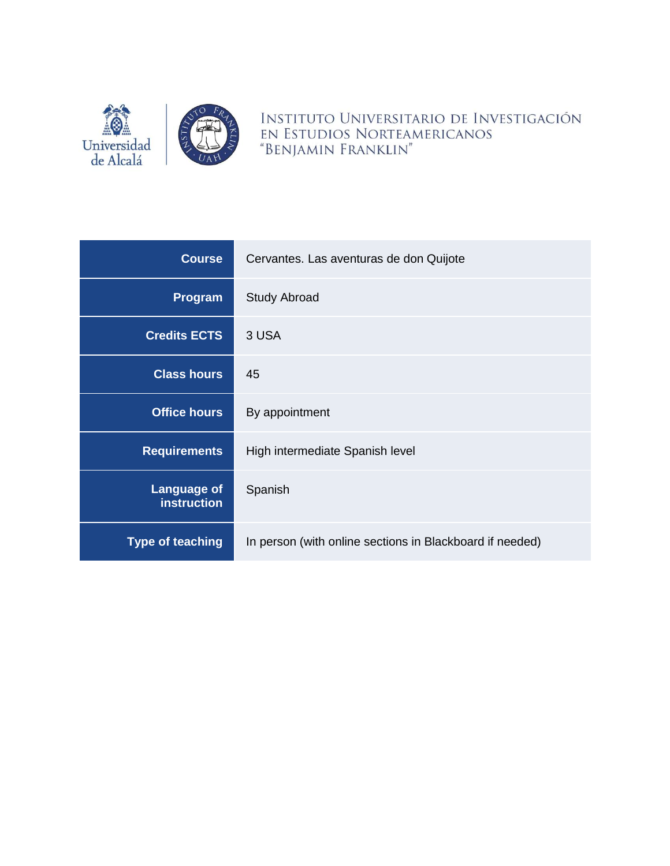

INSTITUTO UNIVERSITARIO DE INVESTIGACIÓN EN ESTUDIOS NORTEAMERICANOS "BENJAMIN FRANKLIN"

| <b>Course</b>                            | Cervantes. Las aventuras de don Quijote                  |  |
|------------------------------------------|----------------------------------------------------------|--|
| Program                                  | <b>Study Abroad</b>                                      |  |
| <b>Credits ECTS</b>                      | 3 USA                                                    |  |
| <b>Class hours</b>                       | 45                                                       |  |
| <b>Office hours</b>                      | By appointment                                           |  |
| <b>Requirements</b>                      | High intermediate Spanish level                          |  |
| <b>Language of</b><br><b>instruction</b> | Spanish                                                  |  |
| <b>Type of teaching</b>                  | In person (with online sections in Blackboard if needed) |  |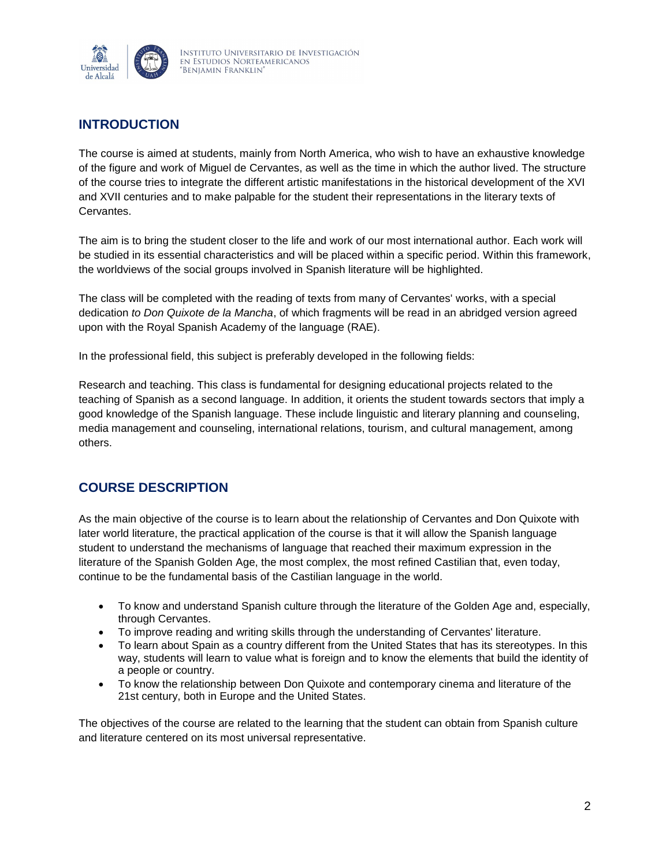

# **INTRODUCTION**

The course is aimed at students, mainly from North America, who wish to have an exhaustive knowledge of the figure and work of Miguel de Cervantes, as well as the time in which the author lived. The structure of the course tries to integrate the different artistic manifestations in the historical development of the XVI and XVII centuries and to make palpable for the student their representations in the literary texts of Cervantes.

The aim is to bring the student closer to the life and work of our most international author. Each work will be studied in its essential characteristics and will be placed within a specific period. Within this framework, the worldviews of the social groups involved in Spanish literature will be highlighted.

The class will be completed with the reading of texts from many of Cervantes' works, with a special dedication *to Don Quixote de la Mancha*, of which fragments will be read in an abridged version agreed upon with the Royal Spanish Academy of the language (RAE).

In the professional field, this subject is preferably developed in the following fields:

Research and teaching. This class is fundamental for designing educational projects related to the teaching of Spanish as a second language. In addition, it orients the student towards sectors that imply a good knowledge of the Spanish language. These include linguistic and literary planning and counseling, media management and counseling, international relations, tourism, and cultural management, among others.

# **COURSE DESCRIPTION**

As the main objective of the course is to learn about the relationship of Cervantes and Don Quixote with later world literature, the practical application of the course is that it will allow the Spanish language student to understand the mechanisms of language that reached their maximum expression in the literature of the Spanish Golden Age, the most complex, the most refined Castilian that, even today, continue to be the fundamental basis of the Castilian language in the world.

- To know and understand Spanish culture through the literature of the Golden Age and, especially, through Cervantes.
- To improve reading and writing skills through the understanding of Cervantes' literature.
- To learn about Spain as a country different from the United States that has its stereotypes. In this way, students will learn to value what is foreign and to know the elements that build the identity of a people or country.
- To know the relationship between Don Quixote and contemporary cinema and literature of the 21st century, both in Europe and the United States.

The objectives of the course are related to the learning that the student can obtain from Spanish culture and literature centered on its most universal representative.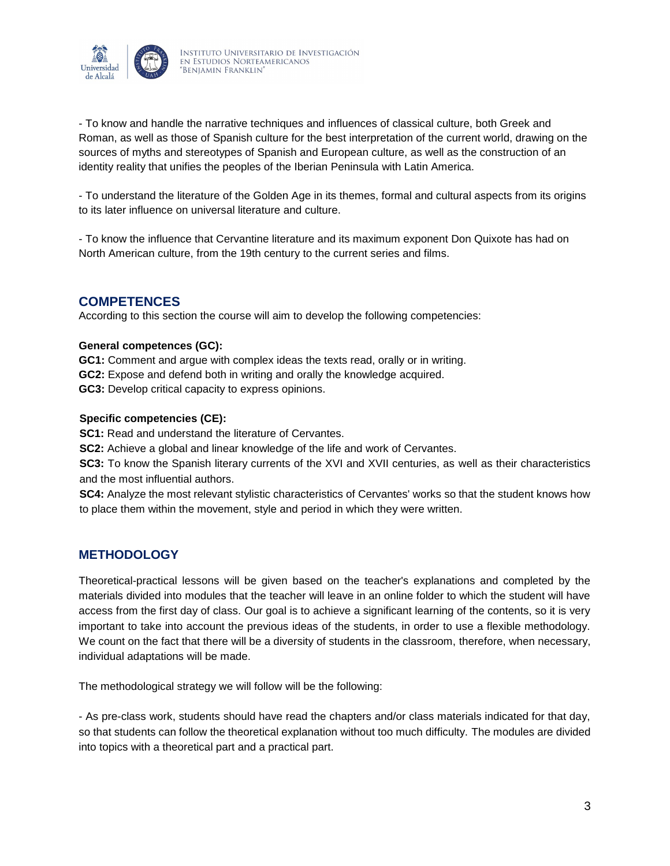

- To know and handle the narrative techniques and influences of classical culture, both Greek and Roman, as well as those of Spanish culture for the best interpretation of the current world, drawing on the sources of myths and stereotypes of Spanish and European culture, as well as the construction of an identity reality that unifies the peoples of the Iberian Peninsula with Latin America.

- To understand the literature of the Golden Age in its themes, formal and cultural aspects from its origins to its later influence on universal literature and culture.

- To know the influence that Cervantine literature and its maximum exponent Don Quixote has had on North American culture, from the 19th century to the current series and films.

# **COMPETENCES**

According to this section the course will aim to develop the following competencies:

## **General competences (GC):**

**GC1:** Comment and argue with complex ideas the texts read, orally or in writing. **GC2:** Expose and defend both in writing and orally the knowledge acquired. **GC3:** Develop critical capacity to express opinions.

### **Specific competencies (CE):**

**SC1:** Read and understand the literature of Cervantes.

**SC2:** Achieve a global and linear knowledge of the life and work of Cervantes.

**SC3:** To know the Spanish literary currents of the XVI and XVII centuries, as well as their characteristics and the most influential authors.

**SC4:** Analyze the most relevant stylistic characteristics of Cervantes' works so that the student knows how to place them within the movement, style and period in which they were written.

## **METHODOLOGY**

Theoretical-practical lessons will be given based on the teacher's explanations and completed by the materials divided into modules that the teacher will leave in an online folder to which the student will have access from the first day of class. Our goal is to achieve a significant learning of the contents, so it is very important to take into account the previous ideas of the students, in order to use a flexible methodology. We count on the fact that there will be a diversity of students in the classroom, therefore, when necessary, individual adaptations will be made.

The methodological strategy we will follow will be the following:

- As pre-class work, students should have read the chapters and/or class materials indicated for that day, so that students can follow the theoretical explanation without too much difficulty. The modules are divided into topics with a theoretical part and a practical part.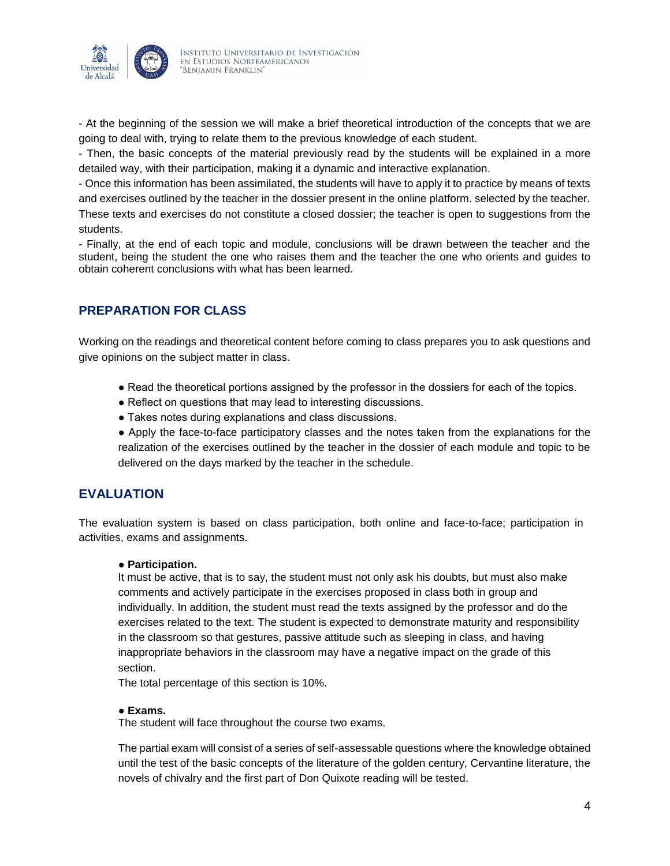

- At the beginning of the session we will make a brief theoretical introduction of the concepts that we are going to deal with, trying to relate them to the previous knowledge of each student.

- Then, the basic concepts of the material previously read by the students will be explained in a more detailed way, with their participation, making it a dynamic and interactive explanation.

- Once this information has been assimilated, the students will have to apply it to practice by means of texts and exercises outlined by the teacher in the dossier present in the online platform. selected by the teacher. These texts and exercises do not constitute a closed dossier; the teacher is open to suggestions from the students.

- Finally, at the end of each topic and module, conclusions will be drawn between the teacher and the student, being the student the one who raises them and the teacher the one who orients and guides to obtain coherent conclusions with what has been learned.

# **PREPARATION FOR CLASS**

Working on the readings and theoretical content before coming to class prepares you to ask questions and give opinions on the subject matter in class.

- Read the theoretical portions assigned by the professor in the dossiers for each of the topics.
- Reflect on questions that may lead to interesting discussions.
- Takes notes during explanations and class discussions.

● Apply the face-to-face participatory classes and the notes taken from the explanations for the realization of the exercises outlined by the teacher in the dossier of each module and topic to be delivered on the days marked by the teacher in the schedule.

## **EVALUATION**

The evaluation system is based on class participation, both online and face-to-face; participation in activities, exams and assignments.

#### ● **Participation.**

It must be active, that is to say, the student must not only ask his doubts, but must also make comments and actively participate in the exercises proposed in class both in group and individually. In addition, the student must read the texts assigned by the professor and do the exercises related to the text. The student is expected to demonstrate maturity and responsibility in the classroom so that gestures, passive attitude such as sleeping in class, and having inappropriate behaviors in the classroom may have a negative impact on the grade of this section.

The total percentage of this section is 10%.

#### ● **Exams.**

The student will face throughout the course two exams.

The partial exam will consist of a series of self-assessable questions where the knowledge obtained until the test of the basic concepts of the literature of the golden century, Cervantine literature, the novels of chivalry and the first part of Don Quixote reading will be tested.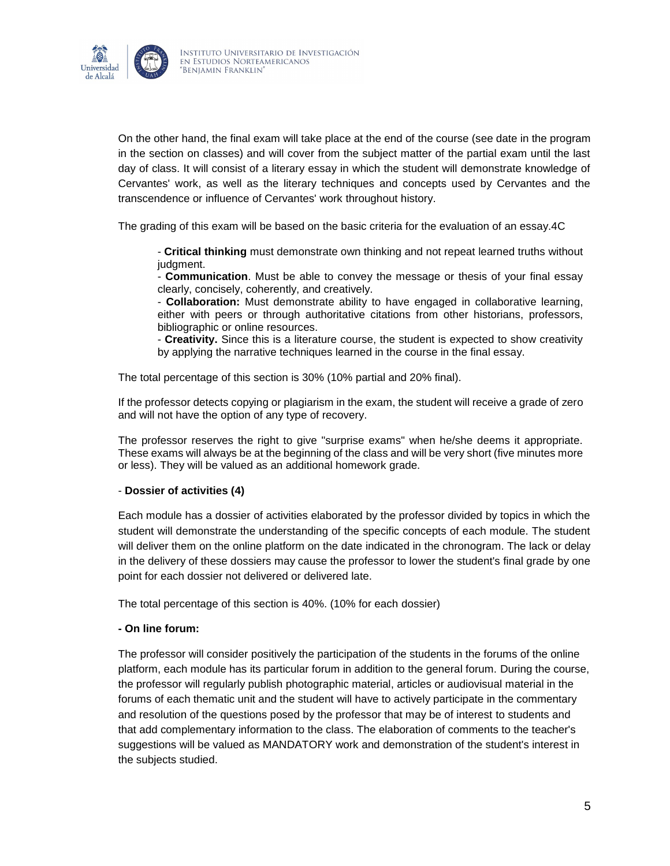

On the other hand, the final exam will take place at the end of the course (see date in the program in the section on classes) and will cover from the subject matter of the partial exam until the last day of class. It will consist of a literary essay in which the student will demonstrate knowledge of Cervantes' work, as well as the literary techniques and concepts used by Cervantes and the transcendence or influence of Cervantes' work throughout history.

The grading of this exam will be based on the basic criteria for the evaluation of an essay.4C

- **Critical thinking** must demonstrate own thinking and not repeat learned truths without judgment.

- **Communication**. Must be able to convey the message or thesis of your final essay clearly, concisely, coherently, and creatively.

- **Collaboration:** Must demonstrate ability to have engaged in collaborative learning, either with peers or through authoritative citations from other historians, professors, bibliographic or online resources.

- **Creativity.** Since this is a literature course, the student is expected to show creativity by applying the narrative techniques learned in the course in the final essay.

The total percentage of this section is 30% (10% partial and 20% final).

If the professor detects copying or plagiarism in the exam, the student will receive a grade of zero and will not have the option of any type of recovery.

The professor reserves the right to give "surprise exams" when he/she deems it appropriate. These exams will always be at the beginning of the class and will be very short (five minutes more or less). They will be valued as an additional homework grade.

## - **Dossier of activities (4)**

Each module has a dossier of activities elaborated by the professor divided by topics in which the student will demonstrate the understanding of the specific concepts of each module. The student will deliver them on the online platform on the date indicated in the chronogram. The lack or delay in the delivery of these dossiers may cause the professor to lower the student's final grade by one point for each dossier not delivered or delivered late.

The total percentage of this section is 40%. (10% for each dossier)

#### **- On line forum:**

The professor will consider positively the participation of the students in the forums of the online platform, each module has its particular forum in addition to the general forum. During the course, the professor will regularly publish photographic material, articles or audiovisual material in the forums of each thematic unit and the student will have to actively participate in the commentary and resolution of the questions posed by the professor that may be of interest to students and that add complementary information to the class. The elaboration of comments to the teacher's suggestions will be valued as MANDATORY work and demonstration of the student's interest in the subjects studied.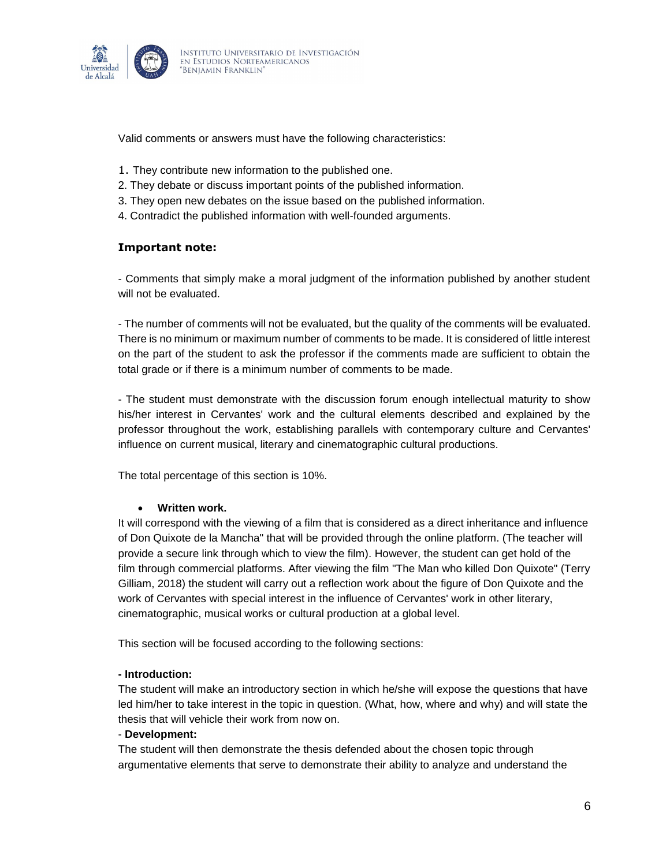

Valid comments or answers must have the following characteristics:

- 1. They contribute new information to the published one.
- 2. They debate or discuss important points of the published information.
- 3. They open new debates on the issue based on the published information.
- 4. Contradict the published information with well-founded arguments.

### **Important note:**

- Comments that simply make a moral judgment of the information published by another student will not be evaluated.

- The number of comments will not be evaluated, but the quality of the comments will be evaluated. There is no minimum or maximum number of comments to be made. It is considered of little interest on the part of the student to ask the professor if the comments made are sufficient to obtain the total grade or if there is a minimum number of comments to be made.

- The student must demonstrate with the discussion forum enough intellectual maturity to show his/her interest in Cervantes' work and the cultural elements described and explained by the professor throughout the work, establishing parallels with contemporary culture and Cervantes' influence on current musical, literary and cinematographic cultural productions.

The total percentage of this section is 10%.

#### **Written work.**

It will correspond with the viewing of a film that is considered as a direct inheritance and influence of Don Quixote de la Mancha" that will be provided through the online platform. (The teacher will provide a secure link through which to view the film). However, the student can get hold of the film through commercial platforms. After viewing the film "The Man who killed Don Quixote" (Terry Gilliam, 2018) the student will carry out a reflection work about the figure of Don Quixote and the work of Cervantes with special interest in the influence of Cervantes' work in other literary, cinematographic, musical works or cultural production at a global level.

This section will be focused according to the following sections:

#### **- Introduction:**

The student will make an introductory section in which he/she will expose the questions that have led him/her to take interest in the topic in question. (What, how, where and why) and will state the thesis that will vehicle their work from now on.

#### - **Development:**

The student will then demonstrate the thesis defended about the chosen topic through argumentative elements that serve to demonstrate their ability to analyze and understand the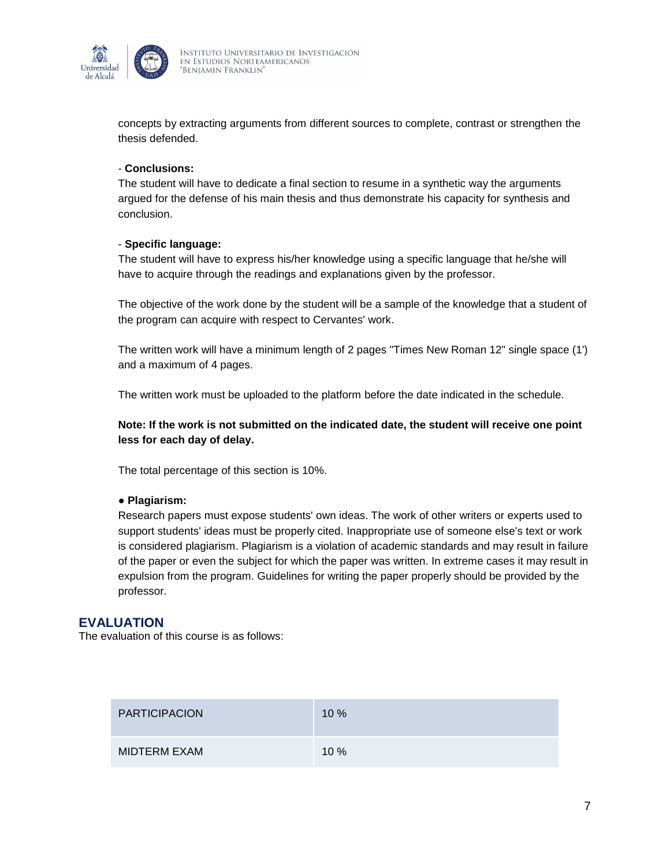

concepts by extracting arguments from different sources to complete, contrast or strengthen the thesis defended.

## - **Conclusions:**

The student will have to dedicate a final section to resume in a synthetic way the arguments argued for the defense of his main thesis and thus demonstrate his capacity for synthesis and conclusion.

### - **Specific language:**

The student will have to express his/her knowledge using a specific language that he/she will have to acquire through the readings and explanations given by the professor.

The objective of the work done by the student will be a sample of the knowledge that a student of the program can acquire with respect to Cervantes' work.

The written work will have a minimum length of 2 pages "Times New Roman 12" single space (1') and a maximum of 4 pages.

The written work must be uploaded to the platform before the date indicated in the schedule.

## **Note: If the work is not submitted on the indicated date, the student will receive one point less for each day of delay.**

The total percentage of this section is 10%.

#### ● **Plagiarism:**

Research papers must expose students' own ideas. The work of other writers or experts used to support students' ideas must be properly cited. Inappropriate use of someone else's text or work is considered plagiarism. Plagiarism is a violation of academic standards and may result in failure of the paper or even the subject for which the paper was written. In extreme cases it may result in expulsion from the program. Guidelines for writing the paper properly should be provided by the professor.

## **EVALUATION**

The evaluation of this course is as follows:

| <b>PARTICIPACION</b> | 10%  |
|----------------------|------|
| MIDTERM EXAM         | 10 % |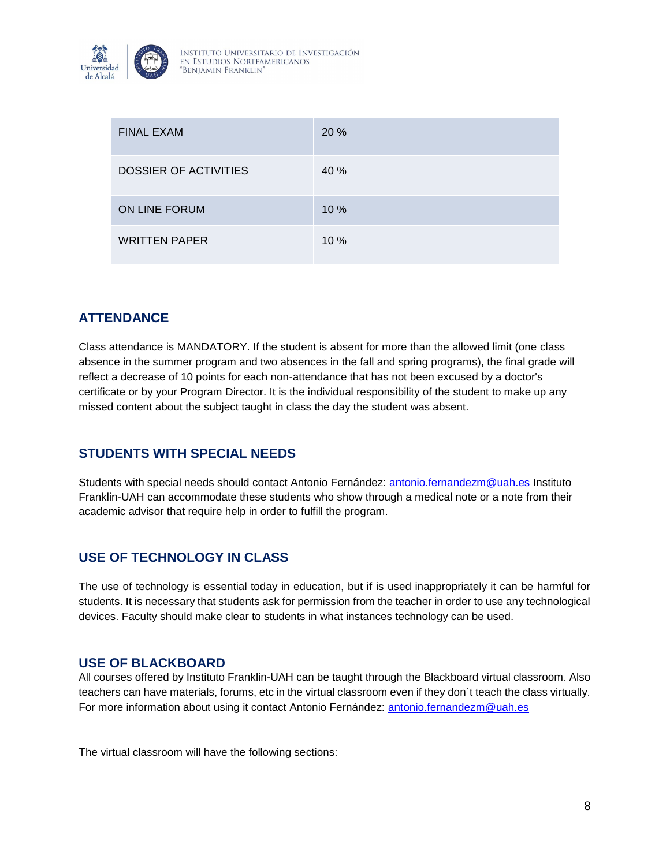

| <b>FINAL EXAM</b>            | 20 % |
|------------------------------|------|
| <b>DOSSIER OF ACTIVITIES</b> | 40 % |
| ON LINE FORUM                | 10 % |
| <b>WRITTEN PAPER</b>         | 10 % |

# **ATTENDANCE**

Class attendance is MANDATORY. If the student is absent for more than the allowed limit (one class absence in the summer program and two absences in the fall and spring programs), the final grade will reflect a decrease of 10 points for each non-attendance that has not been excused by a doctor's certificate or by your Program Director. It is the individual responsibility of the student to make up any missed content about the subject taught in class the day the student was absent.

# **STUDENTS WITH SPECIAL NEEDS**

Students with special needs should contact Antonio Fernández: [antonio.fernandezm@uah.es](mailto:antonio.fernandezm@uah.es) Instituto Franklin-UAH can accommodate these students who show through a medical note or a note from their academic advisor that require help in order to fulfill the program.

# **USE OF TECHNOLOGY IN CLASS**

The use of technology is essential today in education, but if is used inappropriately it can be harmful for students. It is necessary that students ask for permission from the teacher in order to use any technological devices. Faculty should make clear to students in what instances technology can be used.

## **USE OF BLACKBOARD**

All courses offered by Instituto Franklin-UAH can be taught through the Blackboard virtual classroom. Also teachers can have materials, forums, etc in the virtual classroom even if they don´t teach the class virtually. For more information about using it contact Antonio Fernández: [antonio.fernandezm@uah.es](mailto:antonio.fernandezm@uah.es)

The virtual classroom will have the following sections: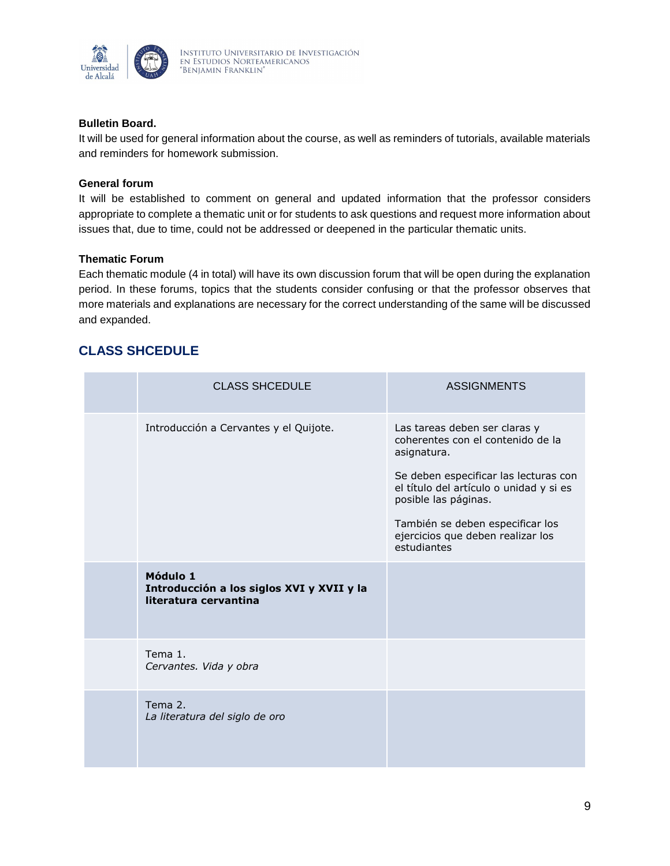

## **Bulletin Board.**

It will be used for general information about the course, as well as reminders of tutorials, available materials and reminders for homework submission.

## **General forum**

It will be established to comment on general and updated information that the professor considers appropriate to complete a thematic unit or for students to ask questions and request more information about issues that, due to time, could not be addressed or deepened in the particular thematic units.

### **Thematic Forum**

Each thematic module (4 in total) will have its own discussion forum that will be open during the explanation period. In these forums, topics that the students consider confusing or that the professor observes that more materials and explanations are necessary for the correct understanding of the same will be discussed and expanded.

# **CLASS SHCEDULE**

| <b>CLASS SHCEDULE</b>                                                          | <b>ASSIGNMENTS</b>                                                                                                                                                                                                                                                                    |
|--------------------------------------------------------------------------------|---------------------------------------------------------------------------------------------------------------------------------------------------------------------------------------------------------------------------------------------------------------------------------------|
| Introducción a Cervantes y el Quijote.                                         | Las tareas deben ser claras y<br>coherentes con el contenido de la<br>asignatura.<br>Se deben especificar las lecturas con<br>el título del artículo o unidad y si es<br>posible las páginas.<br>También se deben especificar los<br>ejercicios que deben realizar los<br>estudiantes |
| Módulo 1<br>Introducción a los siglos XVI y XVII y la<br>literatura cervantina |                                                                                                                                                                                                                                                                                       |
| Tema 1.<br>Cervantes. Vida y obra                                              |                                                                                                                                                                                                                                                                                       |
| Tema 2.<br>La literatura del siglo de oro                                      |                                                                                                                                                                                                                                                                                       |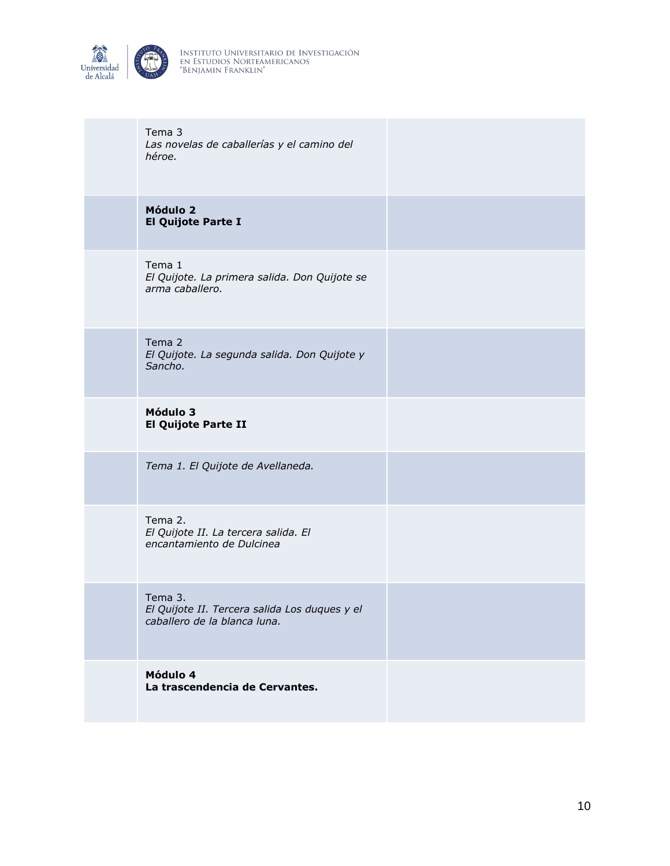

| Tema 3<br>Las novelas de caballerías y el camino del<br>héroe.                           |  |
|------------------------------------------------------------------------------------------|--|
| Módulo 2<br>El Quijote Parte I                                                           |  |
| Tema 1<br>El Quijote. La primera salida. Don Quijote se<br>arma caballero.               |  |
| Tema 2<br>El Quijote. La segunda salida. Don Quijote y<br>Sancho.                        |  |
| Módulo 3<br><b>El Quijote Parte II</b>                                                   |  |
| Tema 1. El Quijote de Avellaneda.                                                        |  |
| Tema 2.<br>El Quijote II. La tercera salida. El<br>encantamiento de Dulcinea             |  |
| Tema 3.<br>El Quijote II. Tercera salida Los duques y el<br>caballero de la blanca luna. |  |
| Módulo 4<br>La trascendencia de Cervantes.                                               |  |